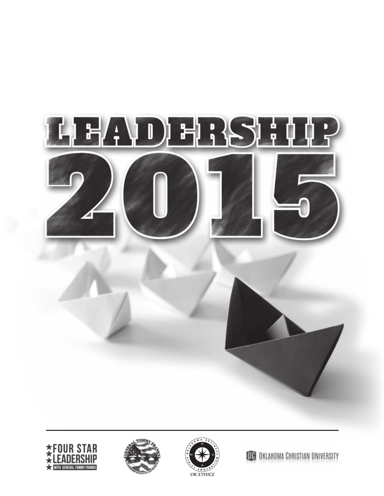







**OB** OKLAHOMA CHRISTIAN UNIVERSITY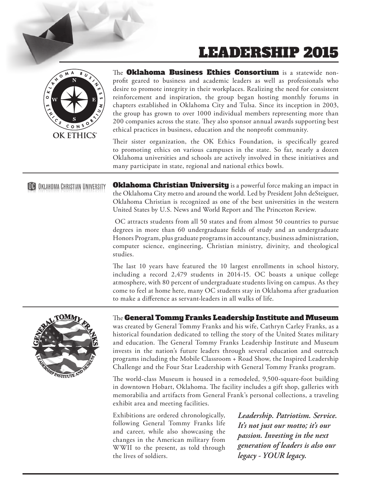# LEADERSHIP 2015



The Oklahoma Business Ethics Consortium is a statewide nonprofit geared to business and academic leaders as well as professionals who desire to promote integrity in their workplaces. Realizing the need for consistent reinforcement and inspiration, the group began hosting monthly forums in chapters established in Oklahoma City and Tulsa. Since its inception in 2003, the group has grown to over 1000 individual members representing more than 200 companies across the state. They also sponsor annual awards supporting best ethical practices in business, education and the nonprofit community.

Their sister organization, the OK Ethics Foundation, is specifically geared to promoting ethics on various campuses in the state. So far, nearly a dozen Oklahoma universities and schools are actively involved in these initiatives and many participate in state, regional and national ethics bowls.

### **OC** OKLAHOMA CHRISTIAN UNIVERSITY

**Oklahoma Christian University** is a powerful force making an impact in the Oklahoma City metro and around the world. Led by President John deSteiguer, Oklahoma Christian is recognized as one of the best universities in the western United States by U.S. News and World Report and The Princeton Review.

 OC attracts students from all 50 states and from almost 50 countries to pursue degrees in more than 60 undergraduate fields of study and an undergraduate Honors Program, plus graduate programs in accountancy, business administration, computer science, engineering, Christian ministry, divinity, and theological studies.

The last 10 years have featured the 10 largest enrollments in school history, including a record 2,479 students in 2014-15. OC boasts a unique college atmosphere, with 80 percent of undergraduate students living on campus. As they come to feel at home here, many OC students stay in Oklahoma after graduation to make a difference as servant-leaders in all walks of life.



### The General Tommy Franks Leadership Institute and Museum

was created by General Tommy Franks and his wife, Cathryn Carley Franks, as a historical foundation dedicated to telling the story of the United States military and education. The General Tommy Franks Leadership Institute and Museum invests in the nation's future leaders through several education and outreach programs including the Mobile Classroom + Road Show, the Inspired Leadership Challenge and the Four Star Leadership with General Tommy Franks program.

The world-class Museum is housed in a remodeled, 9,500-square-foot building in downtown Hobart, Oklahoma. The facility includes a gift shop, galleries with memorabilia and artifacts from General Frank's personal collections, a traveling exhibit area and meeting facilities.

Exhibitions are ordered chronologically, following General Tommy Franks life and career, while also showcasing the changes in the American military from WWII to the present, as told through the lives of soldiers.

*Leadership. Patriotism. Service. It's not just our motto; it's our passion. Investing in the next generation of leaders is also our legacy - YOUR legacy.*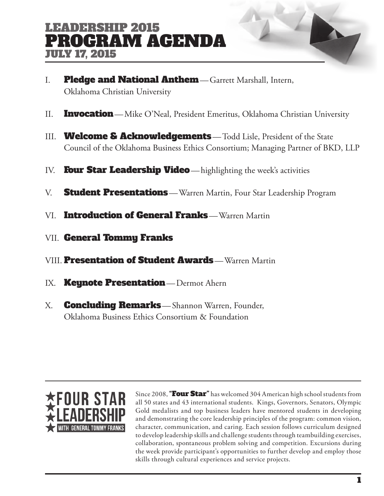# LEADERSHIP 2015 PROGRAM AGENDA JULY 17, 2015

- I. Pledge and National Anthem-Garrett Marshall, Intern, Oklahoma Christian University
- II. **Invocation**—Mike O'Neal, President Emeritus, Oklahoma Christian University
- III. **Welcome & Acknowledgements**—Todd Lisle, President of the State Council of the Oklahoma Business Ethics Consortium; Managing Partner of BKD, LLP
- IV. Four Star Leadership Video-highlighting the week's activities
- V. **Student Presentations**—Warren Martin, Four Star Leadership Program
- VI. Introduction of General Franks—Warren Martin
- VII. General Tommy Franks
- VIII. Presentation of Student Awards—Warren Martin
- IX. **Keynote Presentation**—Dermot Ahern
- X. **Concluding Remarks**-Shannon Warren, Founder, Oklahoma Business Ethics Consortium & Foundation



Since 2008, "Four Star" has welcomed 304 American high school students from all 50 states and 43 international students. Kings, Governors, Senators, Olympic Gold medalists and top business leaders have mentored students in developing and demonstrating the core leadership principles of the program: common vision, character, communication, and caring. Each session follows curriculum designed to develop leadership skills and challenge students through teambuilding exercises, collaboration, spontaneous problem solving and competition. Excursions during the week provide participant's opportunities to further develop and employ those skills through cultural experiences and service projects.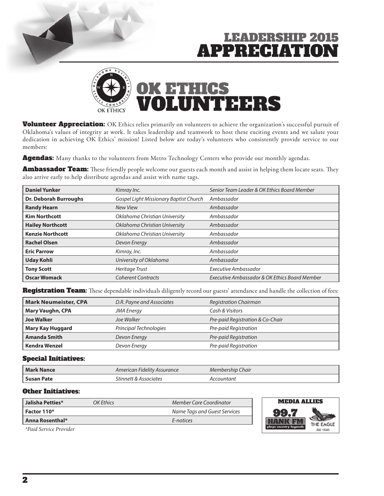# LEARDERSHIP 2015 **APPRECIATI**



**Volunteer Appreciation:** OK Ethics relies primarily on volunteers to achieve the organization's successful pursuit of Oklahoma's values of integrity at work. It takes leadership and teamwork to host these exciting events and we salute your dedication in achieving OK Ethics' mission! Listed below are today's volunteers who consistently provide service to our members:

Agendas: Many thanks to the volunteers from Metro Technology Centers who provide our monthly agendas.

Ambassador Team: These friendly people welcome our guests each month and assist in helping them locate seats. They also arrive early to help distribute agendas and assist with name tags.

| <b>Daniel Yunker</b>         | Kimray Inc.                            | Senior Team Leader & OK Ethics Board Member   |
|------------------------------|----------------------------------------|-----------------------------------------------|
| <b>Dr. Deborah Burroughs</b> | Gospel Light Missionary Baptist Church | Ambassador                                    |
| <b>Randy Hearn</b>           | <b>New View</b>                        | Ambassador                                    |
| <b>Kim Northcott</b>         | Oklahoma Christian University          | Ambassador                                    |
| <b>Hailey Northcott</b>      | Oklahoma Christian University          | Ambassador                                    |
| <b>Kenzie Northcott</b>      | Oklahoma Christian University          | Ambassador                                    |
| <b>Rachel Olsen</b>          | Devon Energy                           | Ambassador                                    |
| <b>Eric Parrow</b>           | Kimray, Inc.                           | Ambassador                                    |
| <b>Uday Kohli</b>            | University of Oklahoma                 | Ambassador                                    |
| <b>Tony Scott</b>            | <b>Heritage Trust</b>                  | Executive Ambassador                          |
| <b>Oscar Womack</b>          | <b>Coherent Contracts</b>              | Executive Ambassador & OK Ethics Board Member |

Registration Team: These dependable individuals diligently record our guests' attendance and handle the collection of fees:

| <b>Mark Neumeister, CPA</b> | D.R. Payne and Associates | <b>Registration Chairman</b>     |
|-----------------------------|---------------------------|----------------------------------|
| <b>Mary Vaughn, CPA</b>     | <b>JMA Energy</b>         | Cash & Visitors                  |
| <b>Joe Walker</b>           | Joe Walker                | Pre-paid Registration & Co-Chair |
| <b>Mary Kay Huggard</b>     | Principal Technologies    | Pre-paid Registration            |
| <b>Amanda Smith</b>         | Devon Energy              | Pre-paid Registration            |
| <b>Kendra Wenzel</b>        | Devon Energy              | Pre-paid Registration            |

#### Special Initiatives:

| <b>Mark Nance</b> | American Fidelity Assurance | Membership Chair |
|-------------------|-----------------------------|------------------|
| Susan Pate        | Stinnett & Associates       | ountant-         |

#### Other Initiatives:

| Jalisha Petties*              | <b>OK Ethics</b> | Member Care Coordinator      | <b>MEDIA ALLIES</b>              |
|-------------------------------|------------------|------------------------------|----------------------------------|
| Factor 110*                   |                  | Name Tags and Guest Services |                                  |
| <b>Anna Rosenthal*</b>        |                  | E-notices                    | THE EAGLE                        |
| <i>*Paid Service Provider</i> |                  |                              | plays country legends<br>AM 1640 |

 *\*Paid Service Provider*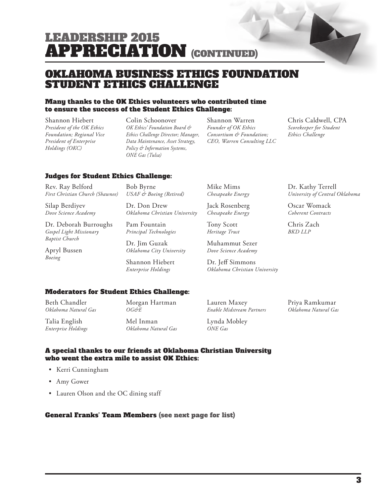# LEADERSHIP 2015 APPRECIATION (CONTINUED)

### OKLAHOMA BUSINESS ETHICS FOUNDATION STUDENT ETHICS CHALLENGE

#### Many thanks to the OK Ethics volunteers who contributed time to ensure the success of the Student Ethics Challenge:

Shannon Hiebert *President of the OK Ethics Foundation; Regional Vice President of Enterprise Holdings (OKC)*

Colin Schoonover *OK Ethics' Foundation Board & Ethics Challenge Director; Manager, Data Maintenance, Asset Strategy, Policy & Information Systems, ONE Gas (Tulsa)*

Shannon Warren *Founder of OK Ethics Consortium & Foundation; CEO, Warren Consulting LLC* Chris Caldwell, CPA *Scorekeeper for Student Ethics Challenge*

Dr. Kathy Terrell

Oscar Womack *Coherent Contracts*

Chris Zach *BKD LLP*

*University of Central Oklahoma*

### Judges for Student Ethics Challenge:

Rev. Ray Belford *First Christian Church (Shawnee)*

Silap Berdiyev *Dove Science Academy*

Dr. Deborah Burroughs *Gospel Light Missionary Baptist Church*

Apryl Bussen *Boeing*

Bob Byrne *USAF & Boeing (Retired)*

Dr. Don Drew *Oklahoma Christian University*

Pam Fountain *Principal Technologies*

Dr. Jim Guzak *Oklahoma City University*

Shannon Hiebert *Enterprise Holdings*

Mike Mims *Chesapeake Energy*

Jack Rosenberg *Chesapeake Energy*

Tony Scott *Heritage Trust*

Muhammut Sezer *Dove Science Academy*

Dr. Jeff Simmons *Oklahoma Christian University*

### Moderators for Student Ethics Challenge:

Beth Chandler *Oklahoma Natural Gas* Morgan Hartman *OG&E*

Talia English *Enterprise Holdings* Mel Inman *Oklahoma Natural Gas* Lauren Maxey *Enable Midstream Partners*

Lynda Mobley *ONE Gas*

Priya Ramkumar *Oklahoma Natural Gas*

A special thanks to our friends at Oklahoma Christian University who went the extra mile to assist OK Ethics:

- Kerri Cunningham
- Amy Gower
- Lauren Olson and the OC dining staff

### General Franks' Team Members (see next page for list)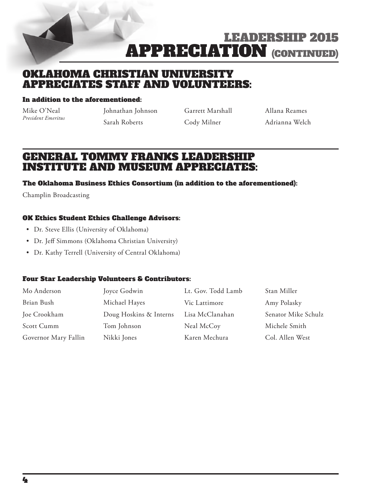

LEADERSHIP 2015 **APPRECIATION (CONTINUED)** 

### OKLAHOMA CHRISTIAN UNIVERSITY APPRECIATES STAFF AND VOLUNTEERS:

#### In addition to the aforementioned:

Mike O'Neal *President Emeritus* Johnathan Johnson Sarah Roberts

Garrett Marshall Cody Milner

Allana Reames Adrianna Welch

### GENERAL TOMMY FRANKS LEADERSHIP INSTITUTE AND MUSEUM APPRECIATES:

### The Oklahoma Business Ethics Consortium (in addition to the aforementioned):

Champlin Broadcasting

### OK Ethics Student Ethics Challenge Advisors:

- Dr. Steve Ellis (University of Oklahoma)
- Dr. Jeff Simmons (Oklahoma Christian University)
- Dr. Kathy Terrell (University of Central Oklahoma)

### Four Star Leadership Volunteers & Contributors:

| Mo Anderson          | Joyce Godwin           | Lt. Gov. Todd Lamb | Stan Miller         |
|----------------------|------------------------|--------------------|---------------------|
| Brian Bush           | Michael Hayes          | Vic Lattimore      | Amy Polasky         |
| Joe Crookham         | Doug Hoskins & Interns | Lisa McClanahan    | Senator Mike Schulz |
| Scott Cumm           | Tom Johnson            | Neal McCoy         | Michele Smith       |
| Governor Mary Fallin | Nikki Jones            | Karen Mechura      | Col. Allen West     |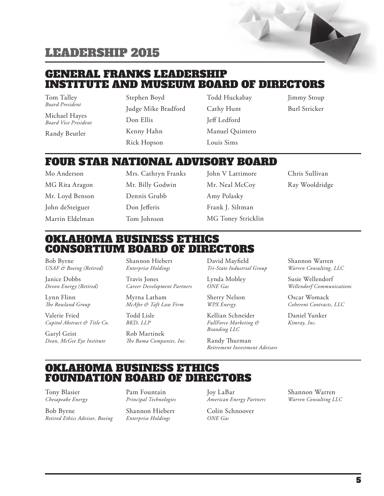### GENERAL FRANKS LEADERSHIP INSTITUTE AND MUSEUM BOARD OF DIRECTORS

Tom Talley *Board President*

Michael Hayes *Board Vice President*

Randy Beutler

Stephen Boyd Judge Mike Bradford Don Ellis Kenny Hahn Rick Hopson

Todd Huckabay Cathy Hunt Jeff Ledford Manuel Quintero Louis Sims

Jimmy Stoup Burl Stricker

### FOUR STAR NATIONAL ADVISORY BOARD

Mo Anderson MG Rita Aragon Mr. Loyd Benson John deSteiguer Martin Eldelman Mrs. Cathryn Franks Mr. Billy Godwin Dennis Grubb Don Jefferis Tom Johnson

John V Lattimore Mr. Neal McCoy Amy Polasky Frank J. Siltman MG Toney Stricklin Chris Sullivan Ray Wooldridge

### OKLAHOMA BUSINESS ETHICS CONSORTIUM BOARD OF DIRECTORS

Bob Byrne *USAF & Boeing (Retired)*

Janice Dobbs *Devon Energy (Retired)*

Lynn Flinn *The Rowland Group*

Valerie Fried *Capitol Abstract & Title Co.*

Garyl Geist *Dean, McGee Eye Institute* Shannon Hiebert *Enterprise Holdings*

Travis Jones *Career Development Partners*

Myrna Latham *McAfee & Taft Law Firm*

Todd Lisle *BKD, LLP*

Rob Martinek *The Bama Companies, Inc.* David Mayfield *Tri-State Industrial Group*

Sherry Nelson *WPX Energy*

Lynda Mobley *ONE Gas*

Kellian Schneider *FullForce Marketing & Branding LLC*

Randy Thurman *Retirement Investment Advisors* Shannon Warren *Warren Consulting, LLC*

Susie Wellendorf *Wellendorf Communications*

Oscar Womack *Coherent Contracts, LLC*

Daniel Yunker *Kimray, Inc.*

### OKLAHOMA BUSINESS ETHICS FOUNDATION BOARD OF DIRECTORS

Tony Blasier *Chesapeake Energy*

Bob Byrne *Retired Ethics Advisor, Boeing*

Pam Fountain *Principal Technologies*

Shannon Hiebert *Enterprise Holdings*

Joy LaBar *American Energy Partners*

Colin Schnoover *ONE Gas*

Shannon Warren *Warren Consulting LLC*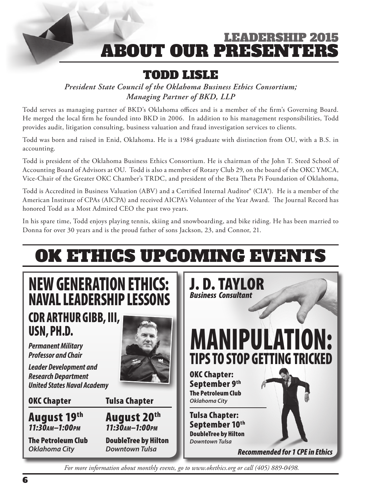# LEAN) HRSHIP 2015 **ABOUT OUR PRESENTE**

# TODD LISLE

*President State Council of the Oklahoma Business Ethics Consortium; Managing Partner of BKD, LLP*

Todd serves as managing partner of BKD's Oklahoma offices and is a member of the firm's Governing Board. He merged the local firm he founded into BKD in 2006. In addition to his management responsibilities, Todd provides audit, litigation consulting, business valuation and fraud investigation services to clients.

Todd was born and raised in Enid, Oklahoma. He is a 1984 graduate with distinction from OU, with a B.S. in accounting.

Todd is president of the Oklahoma Business Ethics Consortium. He is chairman of the John T. Steed School of Accounting Board of Advisors at OU. Todd is also a member of Rotary Club 29, on the board of the OKC YMCA, Vice-Chair of the Greater OKC Chamber's TRDC, and president of the Beta Theta Pi Foundation of Oklahoma,

Todd is Accredited in Business Valuation (ABV) and a Certified Internal Auditor® (CIA®). He is a member of the American Institute of CPAs (AICPA) and received AICPA's Volunteer of the Year Award. The Journal Record has honored Todd as a Most Admired CEO the past two years.

In his spare time, Todd enjoys playing tennis, skiing and snowboarding, and bike riding. He has been married to Donna for over 30 years and is the proud father of sons Jackson, 23, and Connor, 21.

# OK ETHICS UPCOMING EVENTS



*For more information about monthly events, go to www.okethics.org or call (405) 889-0498.*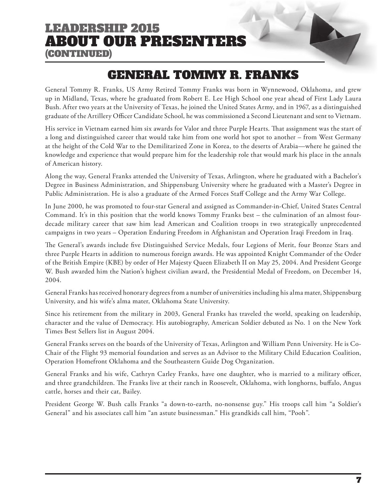## LEADERSHIP 2015 ABOUT OUR PRESENTERS (CONTINUED)

# GENERAL TOMMY R. FRANKS

General Tommy R. Franks, US Army Retired Tommy Franks was born in Wynnewood, Oklahoma, and grew up in Midland, Texas, where he graduated from Robert E. Lee High School one year ahead of First Lady Laura Bush. After two years at the University of Texas, he joined the United States Army, and in 1967, as a distinguished graduate of the Artillery Officer Candidate School, he was commissioned a Second Lieutenant and sent to Vietnam.

His service in Vietnam earned him six awards for Valor and three Purple Hearts. That assignment was the start of a long and distinguished career that would take him from one world hot spot to another – from West Germany at the height of the Cold War to the Demilitarized Zone in Korea, to the deserts of Arabia—where he gained the knowledge and experience that would prepare him for the leadership role that would mark his place in the annals of American history.

Along the way, General Franks attended the University of Texas, Arlington, where he graduated with a Bachelor's Degree in Business Administration, and Shippensburg University where he graduated with a Master's Degree in Public Administration. He is also a graduate of the Armed Forces Staff College and the Army War College.

In June 2000, he was promoted to four-star General and assigned as Commander-in-Chief, United States Central Command. It's in this position that the world knows Tommy Franks best – the culmination of an almost fourdecade military career that saw him lead American and Coalition troops in two strategically unprecedented campaigns in two years – Operation Enduring Freedom in Afghanistan and Operation Iraqi Freedom in Iraq.

The General's awards include five Distinguished Service Medals, four Legions of Merit, four Bronze Stars and three Purple Hearts in addition to numerous foreign awards. He was appointed Knight Commander of the Order of the British Empire (KBE) by order of Her Majesty Queen Elizabeth II on May 25, 2004. And President George W. Bush awarded him the Nation's highest civilian award, the Presidential Medal of Freedom, on December 14, 2004.

General Franks has received honorary degrees from a number of universities including his alma mater, Shippensburg University, and his wife's alma mater, Oklahoma State University.

Since his retirement from the military in 2003, General Franks has traveled the world, speaking on leadership, character and the value of Democracy. His autobiography, American Soldier debuted as No. 1 on the New York Times Best Sellers list in August 2004.

General Franks serves on the boards of the University of Texas, Arlington and William Penn University. He is Co-Chair of the Flight 93 memorial foundation and serves as an Advisor to the Military Child Education Coalition, Operation Homefront Oklahoma and the Southeastern Guide Dog Organization.

General Franks and his wife, Cathryn Carley Franks, have one daughter, who is married to a military officer, and three grandchildren. The Franks live at their ranch in Roosevelt, Oklahoma, with longhorns, buffalo, Angus cattle, horses and their cat, Bailey.

President George W. Bush calls Franks "a down-to-earth, no-nonsense guy." His troops call him "a Soldier's General" and his associates call him "an astute businessman." His grandkids call him, "Pooh".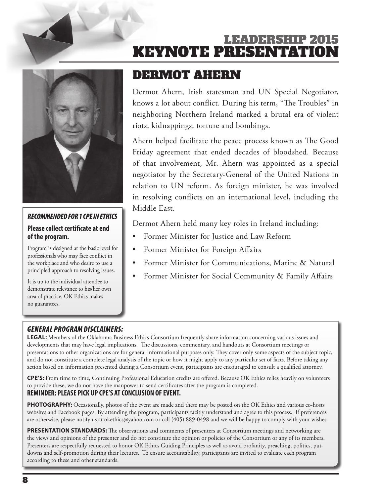# LEADERSHIP 2015 **KEYNOTE PRESENTATION**



### *RECOMMENDED FOR 1 CPE IN ETHICS*

### **Please collect certificate at end of the program.**

Program is designed at the basic level for professionals who may face conflict in the workplace and who desire to use a principled approach to resolving issues.

It is up to the individual attendee to demonstrate relevance to his/her own area of practice, OK Ethics makes no guarantees.

# DERMOT AHERN

Dermot Ahern, Irish statesman and UN Special Negotiator, knows a lot about conflict. During his term, "The Troubles" in neighboring Northern Ireland marked a brutal era of violent riots, kidnappings, torture and bombings.

Ahern helped facilitate the peace process known as The Good Friday agreement that ended decades of bloodshed. Because of that involvement, Mr. Ahern was appointed as a special negotiator by the Secretary-General of the United Nations in relation to UN reform. As foreign minister, he was involved in resolving conflicts on an international level, including the Middle East.

Dermot Ahern held many key roles in Ireland including:

- Former Minister for Justice and Law Reform
- Former Minister for Foreign Affairs
- Former Minister for Communications, Marine & Natural
- Former Minister for Social Community & Family Affairs

### *GENERAL PROGRAM DISCLAIMERS:*

**LEGAL:** Members of the Oklahoma Business Ethics Consortium frequently share information concerning various issues and developments that may have legal implications. The discussions, commentary, and handouts at Consortium meetings or presentations to other organizations are for general informational purposes only. They cover only some aspects of the subject topic, and do not constitute a complete legal analysis of the topic or how it might apply to any particular set of facts. Before taking any action based on information presented during a Consortium event, participants are encouraged to consult a qualified attorney.

**CPE'S:** From time to time, Continuing Professional Education credits are offered. Because OK Ethics relies heavily on volunteers to provide these, we do not have the manpower to send certificates after the program is completed. **REMINDER: PLEASE PICK UP CPE'S AT CONCLUSION OF EVENT.** 

**PHOTOGRAPHY:** Occasionally, photos of the event are made and these may be posted on the OK Ethics and various co-hosts websites and Facebook pages. By attending the program, participants tacitly understand and agree to this process. If preferences are otherwise, please notify us at okethics@yahoo.com or call (405) 889-0498 and we will be happy to comply with your wishes.

**PRESENTATION STANDARDS:** The observations and comments of presenters at Consortium meetings and networking are the views and opinions of the presenter and do not constitute the opinion or policies of the Consortium or any of its members. Presenters are respectfully requested to honor OK Ethics Guiding Principles as well as avoid profanity, preaching, politics, putdowns and self-promotion during their lectures. To ensure accountability, participants are invited to evaluate each program according to these and other standards.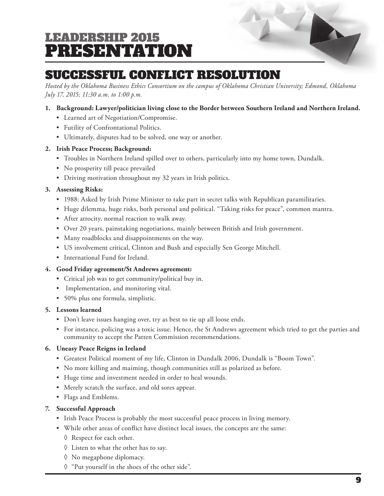# LEADERSHIP 2015 PRESENTATION

# SUCCESSFUL CONFLICT RESOLUTION

*Hosted by the Oklahoma Business Ethics Consortium on the campus of Oklahoma Christian University; Edmond, Oklahoma July 17, 2015; 11:30 a.m. to 1:00 p.m.*

### **1. Background: Lawyer/politician living close to the Border between Southern Ireland and Northern Ireland.**

- Learned art of Negotiation/Compromise.
- Futility of Confrontational Politics.
- Ultimately, disputes had to be solved, one way or another.

### **2. Irish Peace Process; Background:**

- Troubles in Northern Ireland spilled over to others, particularly into my home town, Dundalk.
- No prosperity till peace prevailed
- Driving motivation throughout my 32 years in Irish politics.

### **3. Assessing Risks:**

- 1988: Asked by Irish Prime Minister to take part in secret talks with Republican paramilitaries.
- Huge dilemma, huge risks, both personal and political. "Taking risks for peace", common mantra.
- After atrocity, normal reaction to walk away.
- Over 20 years, painstaking negotiations, mainly between British and Irish government.
- Many roadblocks and disappointments on the way.
- US involvement critical, Clinton and Bush and especially Sen George Mitchell.
- International Fund for Ireland.

### **4. Good Friday agreement/St Andrews agreement:**

- Critical job was to get community/political buy in.
- Implementation, and monitoring vital.
- 50% plus one formula, simplistic.

### **5. Lessons learned**

- Don't leave issues hanging over, try as best to tie up all loose ends.
- For instance, policing was a toxic issue. Hence, the St Andrews agreement which tried to get the parties and community to accept the Patten Commission recommendations.

### **6. Uneasy Peace Reigns in Ireland**

- Greatest Political moment of my life, Clinton in Dundalk 2006, Dundalk is "Boom Town".
- No more killing and maiming, though communities still as polarized as before.
- Huge time and investment needed in order to heal wounds.
- Merely scratch the surface, and old sores appear.
- Flags and Emblems.

### **7. Successful Approach**

- Irish Peace Process is probably the most successful peace process in living memory.
- While other areas of conflict have distinct local issues, the concepts are the same:
	- ◊ Respect for each other.
	- ◊ Listen to what the other has to say.
	- ◊ No megaphone diplomacy.
	- ◊ "Put yourself in the shoes of the other side".